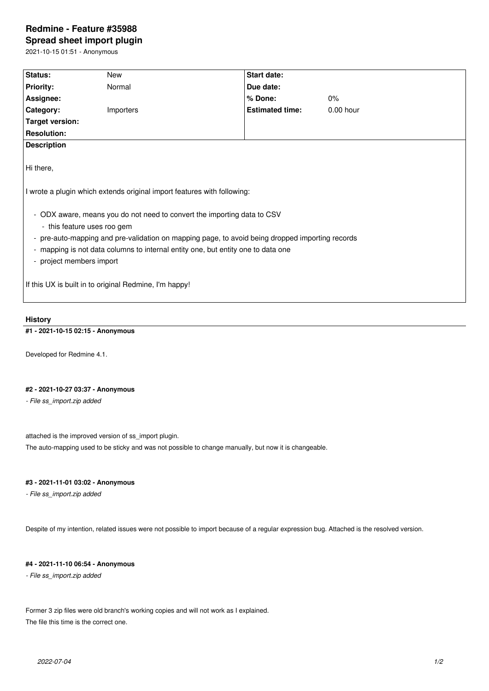# **Redmine - Feature #35988**

**Spread sheet import plugin** 2021-10-15 01:51 - Anonymous

**Status:** New **New Status:** Start date: **Priority:** Normal **Due date: Assignee: % Done:** 0% **Category:** Importers **Importers Estimated time:** 0.00 hour **Target version: Resolution: Description** Hi there, I wrote a plugin which extends original import features with following: - ODX aware, means you do not need to convert the importing data to CSV - this feature uses roo gem - pre-auto-mapping and pre-validation on mapping page, to avoid being dropped importing records - mapping is not data columns to internal entity one, but entity one to data one - project members import If this UX is built in to original Redmine, I'm happy!

## **History**

## **#1 - 2021-10-15 02:15 - Anonymous**

Developed for Redmine 4.1.

## **#2 - 2021-10-27 03:37 - Anonymous**

*- File ss\_import.zip added*

attached is the improved version of ss\_import plugin.

The auto-mapping used to be sticky and was not possible to change manually, but now it is changeable.

## **#3 - 2021-11-01 03:02 - Anonymous**

*- File ss\_import.zip added*

Despite of my intention, related issues were not possible to import because of a regular expression bug. Attached is the resolved version.

#### **#4 - 2021-11-10 06:54 - Anonymous**

*- File ss\_import.zip added*

Former 3 zip files were old branch's working copies and will not work as I explained. The file this time is the correct one.